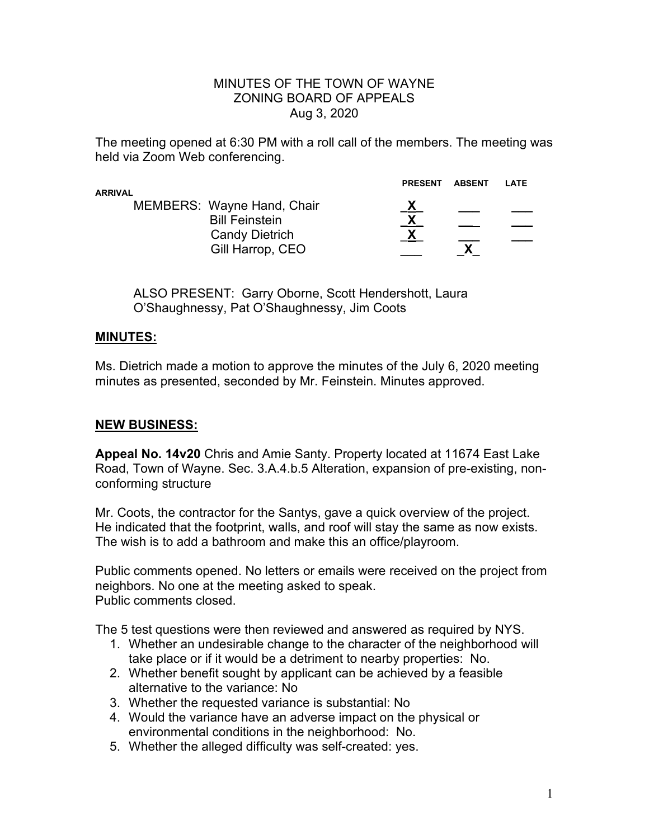#### MINUTES OF THE TOWN OF WAYNE ZONING BOARD OF APPEALS Aug 3, 2020

The meeting opened at 6:30 PM with a roll call of the members. The meeting was held via Zoom Web conferencing.

| ARRIVAL |                                                                                                  | <b>PRESENT</b> | <b>ABSENT</b> | LATE |
|---------|--------------------------------------------------------------------------------------------------|----------------|---------------|------|
|         | MEMBERS: Wayne Hand, Chair<br><b>Bill Feinstein</b><br><b>Candy Dietrich</b><br>Gill Harrop, CEO | X.             |               |      |

ALSO PRESENT: Garry Oborne, Scott Hendershott, Laura O'Shaughnessy, Pat O'Shaughnessy, Jim Coots

### **MINUTES:**

Ms. Dietrich made a motion to approve the minutes of the July 6, 2020 meeting minutes as presented, seconded by Mr. Feinstein. Minutes approved.

# **NEW BUSINESS:**

**Appeal No. 14v20** Chris and Amie Santy. Property located at 11674 East Lake Road, Town of Wayne. Sec. 3.A.4.b.5 Alteration, expansion of pre-existing, nonconforming structure

Mr. Coots, the contractor for the Santys, gave a quick overview of the project. He indicated that the footprint, walls, and roof will stay the same as now exists. The wish is to add a bathroom and make this an office/playroom.

Public comments opened. No letters or emails were received on the project from neighbors. No one at the meeting asked to speak. Public comments closed.

The 5 test questions were then reviewed and answered as required by NYS.

- 1. Whether an undesirable change to the character of the neighborhood will take place or if it would be a detriment to nearby properties: No.
- 2. Whether benefit sought by applicant can be achieved by a feasible alternative to the variance: No
- 3. Whether the requested variance is substantial: No
- 4. Would the variance have an adverse impact on the physical or environmental conditions in the neighborhood: No.
- 5. Whether the alleged difficulty was self-created: yes.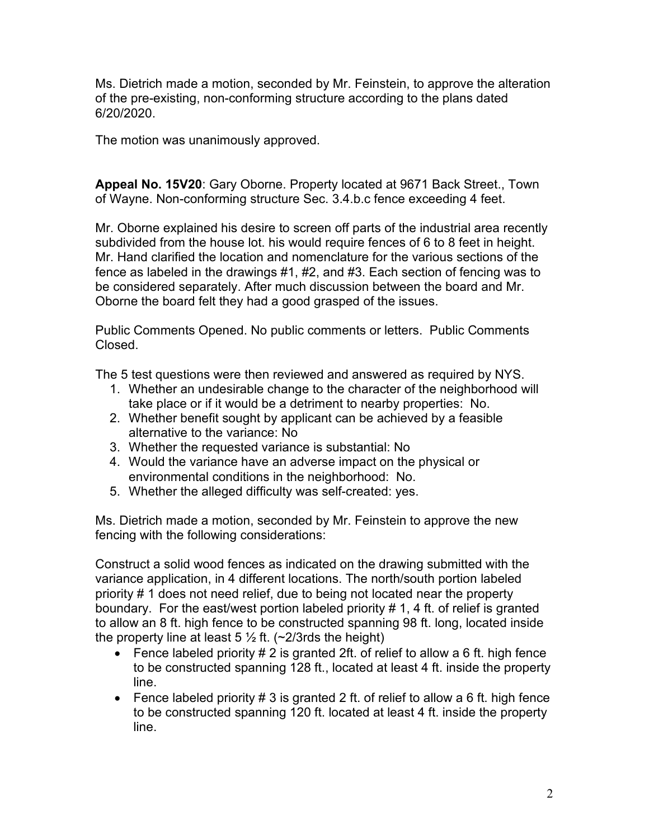Ms. Dietrich made a motion, seconded by Mr. Feinstein, to approve the alteration of the pre-existing, non-conforming structure according to the plans dated 6/20/2020.

The motion was unanimously approved.

**Appeal No. 15V20**: Gary Oborne. Property located at 9671 Back Street., Town of Wayne. Non-conforming structure Sec. 3.4.b.c fence exceeding 4 feet.

Mr. Oborne explained his desire to screen off parts of the industrial area recently subdivided from the house lot. his would require fences of 6 to 8 feet in height. Mr. Hand clarified the location and nomenclature for the various sections of the fence as labeled in the drawings #1, #2, and #3. Each section of fencing was to be considered separately. After much discussion between the board and Mr. Oborne the board felt they had a good grasped of the issues.

Public Comments Opened. No public comments or letters. Public Comments Closed.

The 5 test questions were then reviewed and answered as required by NYS.

- 1. Whether an undesirable change to the character of the neighborhood will take place or if it would be a detriment to nearby properties: No.
- 2. Whether benefit sought by applicant can be achieved by a feasible alternative to the variance: No
- 3. Whether the requested variance is substantial: No
- 4. Would the variance have an adverse impact on the physical or environmental conditions in the neighborhood: No.
- 5. Whether the alleged difficulty was self-created: yes.

Ms. Dietrich made a motion, seconded by Mr. Feinstein to approve the new fencing with the following considerations:

Construct a solid wood fences as indicated on the drawing submitted with the variance application, in 4 different locations. The north/south portion labeled priority # 1 does not need relief, due to being not located near the property boundary. For the east/west portion labeled priority # 1, 4 ft. of relief is granted to allow an 8 ft. high fence to be constructed spanning 98 ft. long, located inside the property line at least 5  $\frac{1}{2}$  ft. (~2/3rds the height)

- Fence labeled priority  $# 2$  is granted 2ft. of relief to allow a 6 ft. high fence to be constructed spanning 128 ft., located at least 4 ft. inside the property line.
- Fence labeled priority # 3 is granted 2 ft. of relief to allow a 6 ft. high fence to be constructed spanning 120 ft. located at least 4 ft. inside the property line.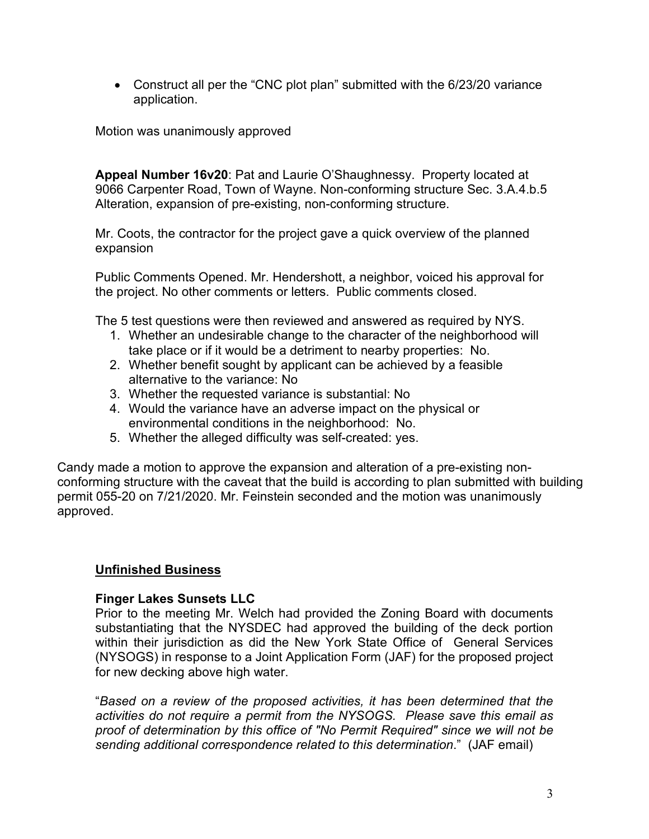• Construct all per the "CNC plot plan" submitted with the 6/23/20 variance application.

Motion was unanimously approved

**Appeal Number 16v20**: Pat and Laurie O'Shaughnessy. Property located at 9066 Carpenter Road, Town of Wayne. Non-conforming structure Sec. 3.A.4.b.5 Alteration, expansion of pre-existing, non-conforming structure.

Mr. Coots, the contractor for the project gave a quick overview of the planned expansion

Public Comments Opened. Mr. Hendershott, a neighbor, voiced his approval for the project. No other comments or letters. Public comments closed.

The 5 test questions were then reviewed and answered as required by NYS.

- 1. Whether an undesirable change to the character of the neighborhood will take place or if it would be a detriment to nearby properties: No.
- 2. Whether benefit sought by applicant can be achieved by a feasible alternative to the variance: No
- 3. Whether the requested variance is substantial: No
- 4. Would the variance have an adverse impact on the physical or environmental conditions in the neighborhood: No.
- 5. Whether the alleged difficulty was self-created: yes.

Candy made a motion to approve the expansion and alteration of a pre-existing nonconforming structure with the caveat that the build is according to plan submitted with building permit 055-20 on 7/21/2020. Mr. Feinstein seconded and the motion was unanimously approved.

## **Unfinished Business**

## **Finger Lakes Sunsets LLC**

Prior to the meeting Mr. Welch had provided the Zoning Board with documents substantiating that the NYSDEC had approved the building of the deck portion within their jurisdiction as did the New York State Office of General Services (NYSOGS) in response to a Joint Application Form (JAF) for the proposed project for new decking above high water.

"*Based on a review of the proposed activities, it has been determined that the activities do not require a permit from the NYSOGS. Please save this email as proof of determination by this office of "No Permit Required" since we will not be sending additional correspondence related to this determination*." (JAF email)